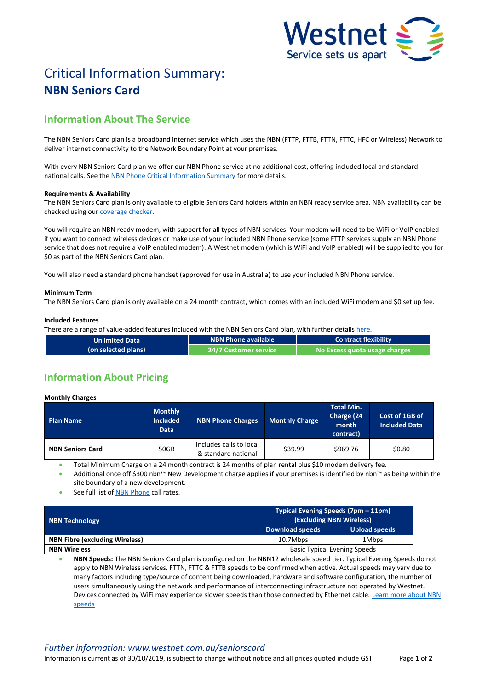

# Critical Information Summary: **NBN Seniors Card**

# **Information About The Service**

The NBN Seniors Card plan is a broadband internet service which uses the NBN (FTTP, FTTB, FTTN, FTTC, HFC or Wireless) Network to deliver internet connectivity to the Network Boundary Point at your premises.

With every NBN Seniors Card plan we offer our NBN Phone service at no additional cost, offering included local and standard national calls. See th[e NBN Phone Critical Information Summary](http://www.westnet.com.au/about/legal/cis/cis-nbn-phone.pdf) for more details.

## **Requirements & Availability**

The NBN Seniors Card plan is only available to eligible Seniors Card holders within an NBN ready service area. NBN availability can be checked using our [coverage checker.](http://www.westnet.com.au/internet/broadband/nbn/coverage/)

You will require an NBN ready modem, with support for all types of NBN services. Your modem will need to be WiFi or VoIP enabled if you want to connect wireless devices or make use of your included NBN Phone service (some FTTP services supply an NBN Phone service that does not require a VoIP enabled modem). A Westnet modem (which is WiFi and VoIP enabled) will be supplied to you for \$0 as part of the NBN Seniors Card plan.

You will also need a standard phone handset (approved for use in Australia) to use your included NBN Phone service.

### **Minimum Term**

The NBN Seniors Card plan is only available on a 24 month contract, which comes with an included WiFi modem and \$0 set up fee.

### **Included Features**

There are a range of value-added features included with the NBN Seniors Card plan, with further details [here.](http://www.westnet.com.au/seniorscard)

| <b>Unlimited Data</b> | NBN Phone available            | <b>Contract flexibility</b>   |  |
|-----------------------|--------------------------------|-------------------------------|--|
| (on selected plans)   | <b>24/7 Customer service '</b> | No Excess quota usage charges |  |

# **Information About Pricing**

#### **Monthly Charges**

| <b>Plan Name</b>        | <b>Monthly</b><br><b>Included</b><br><b>Data</b> | <b>NBN Phone Charges</b>                       | <b>Monthly Charge</b> | <b>Total Min.</b><br>Charge (24<br>month<br>contract) | Cost of 1GB of<br><b>Included Data</b> |
|-------------------------|--------------------------------------------------|------------------------------------------------|-----------------------|-------------------------------------------------------|----------------------------------------|
| <b>NBN Seniors Card</b> | 50GB                                             | Includes calls to local<br>& standard national | \$39.99               | \$969.76                                              | \$0.80                                 |

Total Minimum Charge on a 24 month contract is 24 months of plan rental plus \$10 modem delivery fee.

 Additional once off \$300 nbn™ New Development charge applies if your premises is identified by nbn™ as being within the site boundary of a new development.

See full list of [NBN Phone](http://www.westnet.com.au/seniorscard) call rates.

| <b>NBN Technology</b>                 | Typical Evening Speeds (7pm – 11pm)<br>(Excluding NBN Wireless) |               |  |
|---------------------------------------|-----------------------------------------------------------------|---------------|--|
|                                       | Download speeds                                                 | Upload speeds |  |
| <b>NBN Fibre (excluding Wireless)</b> | 10.7Mbps                                                        | 1Mbps         |  |
| <b>NBN Wireless</b>                   | <b>Basic Typical Evening Speeds</b>                             |               |  |

 **NBN Speeds:** The NBN Seniors Card plan is configured on the NBN12 wholesale speed tier. Typical Evening Speeds do not apply to NBN Wireless services. FTTN, FTTC & FTTB speeds to be confirmed when active. Actual speeds may vary due to many factors including type/source of content being downloaded, hardware and software configuration, the number of users simultaneously using the network and performance of interconnecting infrastructure not operated by Westnet. Devices connected by WiFi may experience slower speeds than those connected by Ethernet cable. [Learn more about NBN](http://myhelp.westnet.com.au/node/1699)  [speeds](http://myhelp.westnet.com.au/node/1699)